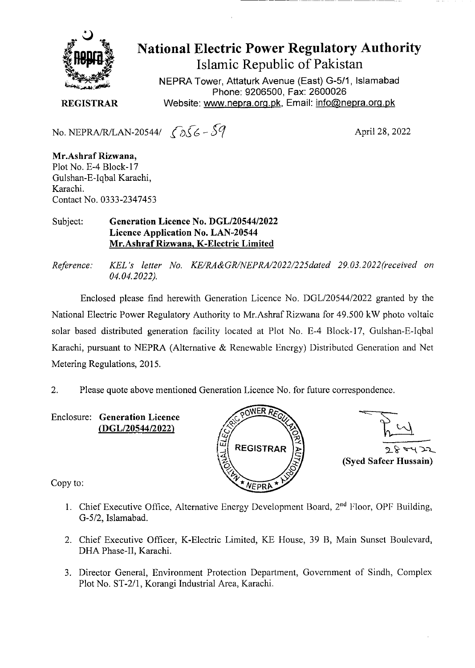

# National Electric Power Regulatory Authority Islamic Republic of Pakistan

NEPRA Tower, Attaturk Avenue (East) G-5/1, Islamabad Phone: 9206500, Fax: 2600026 **REGISTRAR** Website: www.nepra.org.pk, Email: info@nepra.org.pk

No. NEPRA/R/LAN-20544/  $\sqrt{256} - 59$  April 28, 2022

**Mr.Ashraf Rizwana,**  Plot No. E-4 Block-17 Gulshan-E-Iqba1 Karachi, Karachi. Contact No. 0333-2347453

#### Subject: **Generation Licence No.** *DGL12054412022*  **Licence Application No. LAN-20544 Mr.Ashraf Rizwana, K-Electric Limited**

*Reference: KEL 's letter No. KE/RA&GRINEFRAI2O22/225dated 29. 03.2022(received on 04.04.2022).* 

Enclosed please find herewith Generation Licence No. DGL/20544/2022 granted by the National Electric Power Regulatory Authority to Mr.Ashraf Rizwana for 49.500 kW photo voltaic solar based distributed generation facility located at Plot No. E-4 Block-17, Gulshan-E-Iqbal Karachi, pursuant to NEPRA (Alternative & Renewable Energy) Distributed Generation and Net Metering Regulations, 2015.

2. Please quote above mentioned Generation Licence No. for future correspondence.

Enclosure: **Generation Licence**  *(DGL/2054412022)* 



28 ad 25 **(Syed Safeer Hussain)** 

Copy to:

- 1. Chief Executive Office, Alternative Energy Development Board,  $2<sup>nd</sup>$  Floor, OPF Building, G-5/2, Islamabad.
- 2. Chief Executive Officer, K-Electric Limited, KE House, 39 B, Main Sunset Boulevard, DHA Phase-II, Karachi.
- 3. Director General, Environment Protection Department, Government of Sindh, Complex Plot No. ST-2/1, Korangi Industrial Area, Karachi.